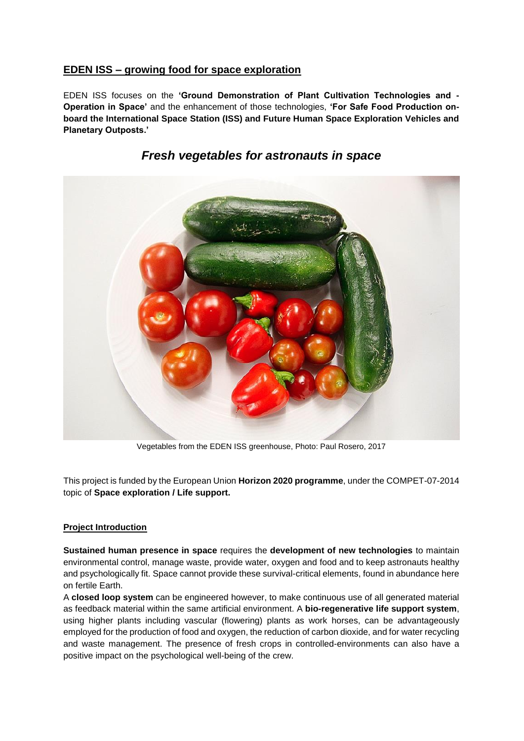### **EDEN ISS** *–* **growing food for space exploration**

EDEN ISS focuses on the **'Ground Demonstration of Plant Cultivation Technologies and - Operation in Space'** and the enhancement of those technologies, **'For Safe Food Production onboard the International Space Station (ISS) and Future Human Space Exploration Vehicles and Planetary Outposts.'**



### *Fresh vegetables for astronauts in space*

Vegetables from the EDEN ISS greenhouse, Photo: Paul Rosero, 2017

This project is funded by the European Union **Horizon 2020 programme**, under the COMPET-07-2014 topic of **Space exploration / Life support.**

### **Project Introduction**

**Sustained human presence in space** requires the **development of new technologies** to maintain environmental control, manage waste, provide water, oxygen and food and to keep astronauts healthy and psychologically fit. Space cannot provide these survival-critical elements, found in abundance here on fertile Earth.

A **closed loop system** can be engineered however, to make continuous use of all generated material as feedback material within the same artificial environment. A **bio-regenerative life support system**, using higher plants including vascular (flowering) plants as work horses, can be advantageously employed for the production of food and oxygen, the reduction of carbon dioxide, and for water recycling and waste management. The presence of fresh crops in controlled-environments can also have a positive impact on the psychological well-being of the crew.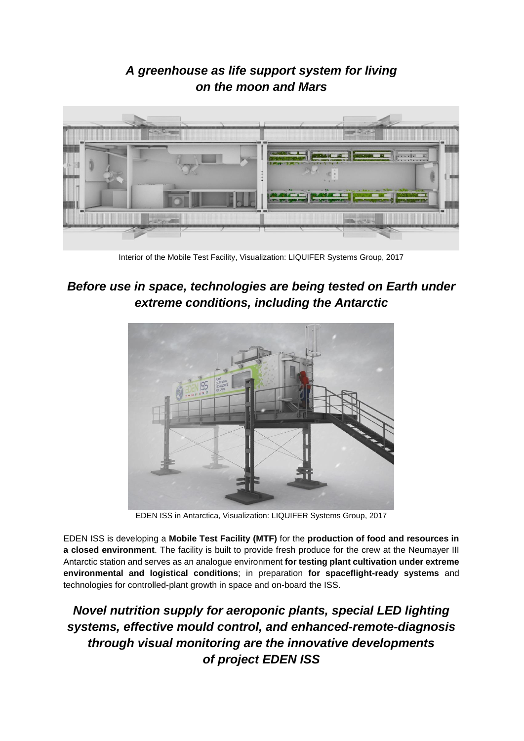## *A greenhouse as life support system for living on the moon and Mars*



Interior of the Mobile Test Facility, Visualization: LIQUIFER Systems Group, 2017

# *Before use in space, technologies are being tested on Earth under extreme conditions, including the Antarctic*



EDEN ISS in Antarctica, Visualization: LIQUIFER Systems Group, 2017

EDEN ISS is developing a **Mobile Test Facility (MTF)** for the **production of food and resources in a closed environment**. The facility is built to provide fresh produce for the crew at the Neumayer III Antarctic station and serves as an analogue environment **for testing plant cultivation under extreme environmental and logistical conditions**; in preparation **for spaceflight-ready systems** and technologies for controlled-plant growth in space and on-board the ISS.

*Novel nutrition supply for aeroponic plants, special LED lighting systems, effective mould control, and enhanced-remote-diagnosis through visual monitoring are the innovative developments of project EDEN ISS*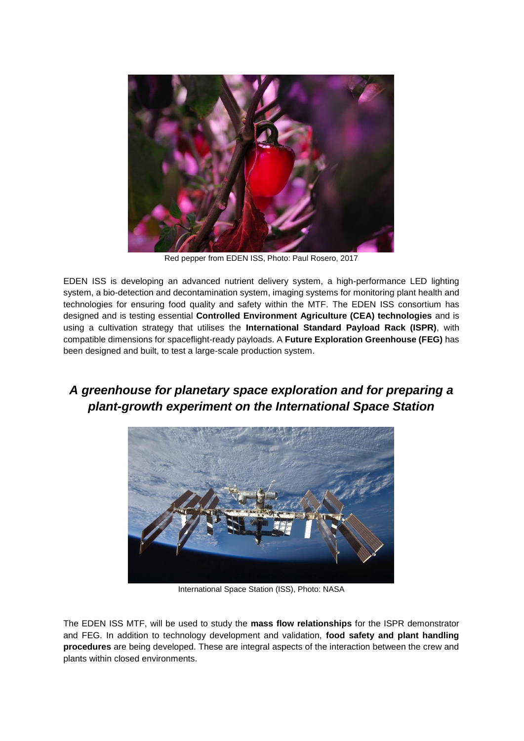

Red pepper from EDEN ISS, Photo: Paul Rosero, 2017

EDEN ISS is developing an advanced nutrient delivery system, a high-performance LED lighting system, a bio-detection and decontamination system, imaging systems for monitoring plant health and technologies for ensuring food quality and safety within the MTF. The EDEN ISS consortium has designed and is testing essential **Controlled Environment Agriculture (CEA) technologies** and is using a cultivation strategy that utilises the **International Standard Payload Rack (ISPR)**, with compatible dimensions for spaceflight-ready payloads. A **Future Exploration Greenhouse (FEG)** has been designed and built, to test a large-scale production system.

### *A greenhouse for planetary space exploration and for preparing a plant-growth experiment on the International Space Station*



International Space Station (ISS), Photo: NASA

The EDEN ISS MTF, will be used to study the **mass flow relationships** for the ISPR demonstrator and FEG. In addition to technology development and validation, **food safety and plant handling procedures** are being developed. These are integral aspects of the interaction between the crew and plants within closed environments.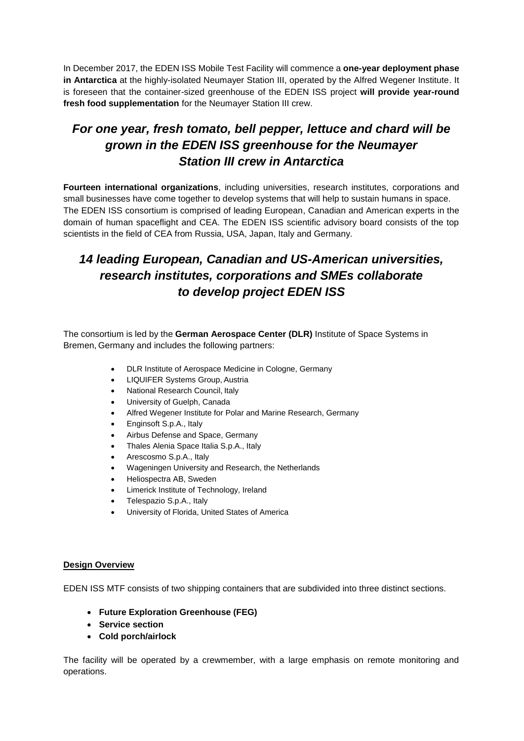In December 2017, the EDEN ISS Mobile Test Facility will commence a **one-year deployment phase in Antarctica** at the highly-isolated Neumayer Station III, operated by the Alfred Wegener Institute. It is foreseen that the container-sized greenhouse of the EDEN ISS project **will provide year-round fresh food supplementation** for the Neumayer Station III crew.

# *For one year, fresh tomato, bell pepper, lettuce and chard will be grown in the EDEN ISS greenhouse for the Neumayer Station III crew in Antarctica*

**Fourteen international organizations**, including universities, research institutes, corporations and small businesses have come together to develop systems that will help to sustain humans in space. The EDEN ISS consortium is comprised of leading European, Canadian and American experts in the domain of human spaceflight and CEA. The EDEN ISS scientific advisory board consists of the top scientists in the field of CEA from Russia, USA, Japan, Italy and Germany.

# *14 leading European, Canadian and US-American universities, research institutes, corporations and SMEs collaborate to develop project EDEN ISS*

The consortium is led by the **German Aerospace Center (DLR)** Institute of Space Systems in Bremen, Germany and includes the following partners:

- DLR Institute of Aerospace Medicine in Cologne, Germany
- LIQUIFER Systems Group, Austria
- National Research Council, Italy
- University of Guelph, Canada
- Alfred Wegener Institute for Polar and Marine Research, Germany
- Enginsoft S.p.A., Italy
- Airbus Defense and Space, Germany
- Thales Alenia Space Italia S.p.A., Italy
- Arescosmo S.p.A., Italy
- Wageningen University and Research, the Netherlands
- Heliospectra AB, Sweden
- Limerick Institute of Technology, Ireland
- Telespazio S.p.A., Italy
- University of Florida, United States of America

#### **Design Overview**

EDEN ISS MTF consists of two shipping containers that are subdivided into three distinct sections.

- **Future Exploration Greenhouse (FEG)**
- **Service section**
- **Cold porch/airlock**

The facility will be operated by a crewmember, with a large emphasis on remote monitoring and operations.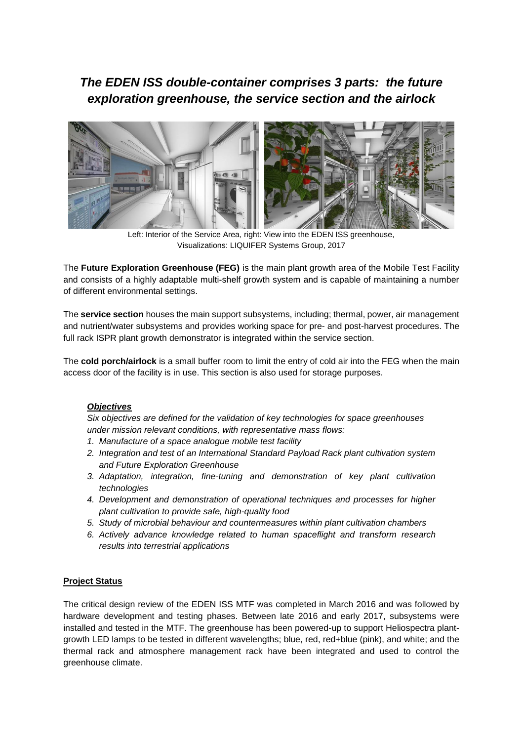# *The EDEN ISS double-container comprises 3 parts: the future exploration greenhouse, the service section and the airlock*



Left: Interior of the Service Area, right: View into the EDEN ISS greenhouse, Visualizations: LIQUIFER Systems Group, 2017

The **Future Exploration Greenhouse (FEG)** is the main plant growth area of the Mobile Test Facility and consists of a highly adaptable multi-shelf growth system and is capable of maintaining a number of different environmental settings.

The **service section** houses the main support subsystems, including; thermal, power, air management and nutrient/water subsystems and provides working space for pre- and post-harvest procedures. The full rack ISPR plant growth demonstrator is integrated within the service section.

The **cold porch/airlock** is a small buffer room to limit the entry of cold air into the FEG when the main access door of the facility is in use. This section is also used for storage purposes.

### *Objectives*

*Six objectives are defined for the validation of key technologies for space greenhouses under mission relevant conditions, with representative mass flows:*

- *1. Manufacture of a space analogue mobile test facility*
- *2. Integration and test of an International Standard Payload Rack plant cultivation system and Future Exploration Greenhouse*
- *3. Adaptation, integration, fine-tuning and demonstration of key plant cultivation technologies*
- *4. Development and demonstration of operational techniques and processes for higher plant cultivation to provide safe, high-quality food*
- *5. Study of microbial behaviour and countermeasures within plant cultivation chambers*
- *6. Actively advance knowledge related to human spaceflight and transform research results into terrestrial applications*

#### **Project Status**

The critical design review of the EDEN ISS MTF was completed in March 2016 and was followed by hardware development and testing phases. Between late 2016 and early 2017, subsystems were installed and tested in the MTF. The greenhouse has been powered-up to support Heliospectra plantgrowth LED lamps to be tested in different wavelengths; blue, red, red+blue (pink), and white; and the thermal rack and atmosphere management rack have been integrated and used to control the greenhouse climate.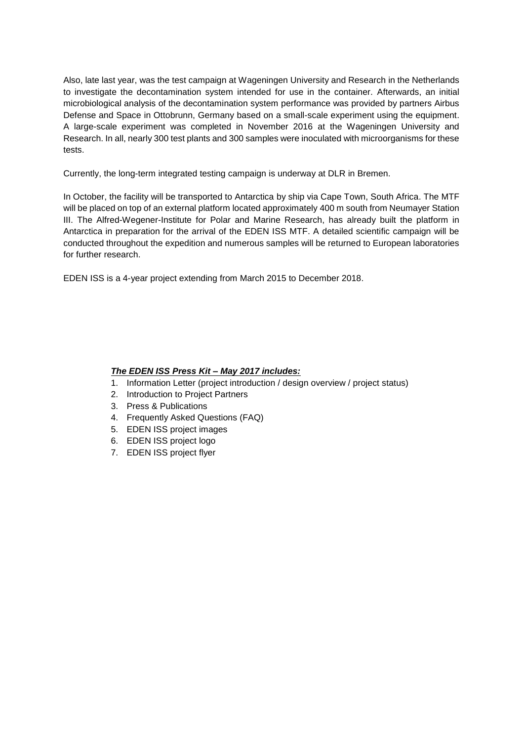Also, late last year, was the test campaign at Wageningen University and Research in the Netherlands to investigate the decontamination system intended for use in the container. Afterwards, an initial microbiological analysis of the decontamination system performance was provided by partners Airbus Defense and Space in Ottobrunn, Germany based on a small-scale experiment using the equipment. A large-scale experiment was completed in November 2016 at the Wageningen University and Research. In all, nearly 300 test plants and 300 samples were inoculated with microorganisms for these tests.

Currently, the long-term integrated testing campaign is underway at DLR in Bremen.

In October, the facility will be transported to Antarctica by ship via Cape Town, South Africa. The MTF will be placed on top of an external platform located approximately 400 m south from Neumayer Station III. The Alfred-Wegener-Institute for Polar and Marine Research, has already built the platform in Antarctica in preparation for the arrival of the EDEN ISS MTF. A detailed scientific campaign will be conducted throughout the expedition and numerous samples will be returned to European laboratories for further research.

EDEN ISS is a 4-year project extending from March 2015 to December 2018.

#### *The EDEN ISS Press Kit – May 2017 includes:*

- 1. Information Letter (project introduction / design overview / project status)
- 2. Introduction to Project Partners
- 3. Press & Publications
- 4. Frequently Asked Questions (FAQ)
- 5. EDEN ISS project images
- 6. EDEN ISS project logo
- 7. EDEN ISS project flyer